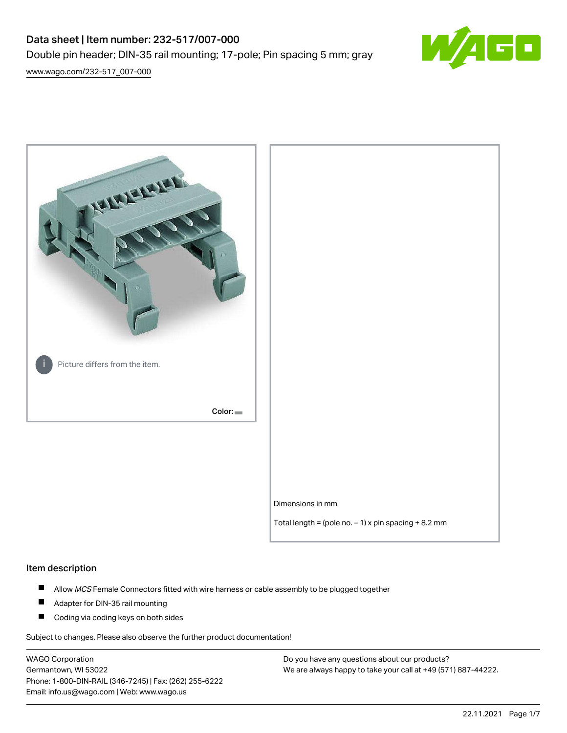# Data sheet | Item number: 232-517/007-000 Double pin header; DIN-35 rail mounting; 17-pole; Pin spacing 5 mm; gray



[www.wago.com/232-517\\_007-000](http://www.wago.com/232-517_007-000)



#### Item description

- $\blacksquare$ Allow MCS Female Connectors fitted with wire harness or cable assembly to be plugged together
- $\blacksquare$ Adapter for DIN-35 rail mounting
- $\blacksquare$ Coding via coding keys on both sides

Subject to changes. Please also observe the further product documentation!

WAGO Corporation Germantown, WI 53022 Phone: 1-800-DIN-RAIL (346-7245) | Fax: (262) 255-6222 Email: info.us@wago.com | Web: www.wago.us

Do you have any questions about our products? We are always happy to take your call at +49 (571) 887-44222.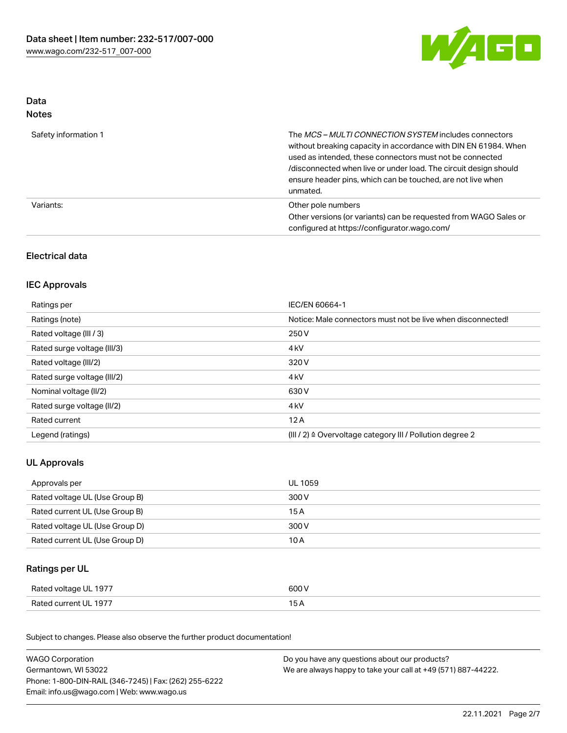

## Data Notes

| Safety information 1 | The <i>MCS – MULTI CONNECTION SYSTEM</i> includes connectors<br>without breaking capacity in accordance with DIN EN 61984. When<br>used as intended, these connectors must not be connected<br>/disconnected when live or under load. The circuit design should<br>ensure header pins, which can be touched, are not live when<br>unmated. |
|----------------------|--------------------------------------------------------------------------------------------------------------------------------------------------------------------------------------------------------------------------------------------------------------------------------------------------------------------------------------------|
| Variants:            | Other pole numbers<br>Other versions (or variants) can be requested from WAGO Sales or<br>configured at https://configurator.wago.com/                                                                                                                                                                                                     |

## Electrical data

## IEC Approvals

| Ratings per                 | IEC/EN 60664-1                                                        |
|-----------------------------|-----------------------------------------------------------------------|
| Ratings (note)              | Notice: Male connectors must not be live when disconnected!           |
| Rated voltage (III / 3)     | 250 V                                                                 |
| Rated surge voltage (III/3) | 4 <sub>k</sub> V                                                      |
| Rated voltage (III/2)       | 320 V                                                                 |
| Rated surge voltage (III/2) | 4 <sub>k</sub> V                                                      |
| Nominal voltage (II/2)      | 630 V                                                                 |
| Rated surge voltage (II/2)  | 4 <sub>k</sub> V                                                      |
| Rated current               | 12A                                                                   |
| Legend (ratings)            | $(III / 2)$ $\triangle$ Overvoltage category III / Pollution degree 2 |

## UL Approvals

| Approvals per                  | UL 1059 |
|--------------------------------|---------|
| Rated voltage UL (Use Group B) | 300 V   |
| Rated current UL (Use Group B) | 15 A    |
| Rated voltage UL (Use Group D) | 300 V   |
| Rated current UL (Use Group D) | 10 A    |

## Ratings per UL

| Rated voltage UL 1977 | 600 V |
|-----------------------|-------|
| Rated current UL 1977 |       |

Subject to changes. Please also observe the further product documentation!

| <b>WAGO Corporation</b>                                | Do you have any questions about our products?                 |
|--------------------------------------------------------|---------------------------------------------------------------|
| Germantown, WI 53022                                   | We are always happy to take your call at +49 (571) 887-44222. |
| Phone: 1-800-DIN-RAIL (346-7245)   Fax: (262) 255-6222 |                                                               |
| Email: info.us@wago.com   Web: www.wago.us             |                                                               |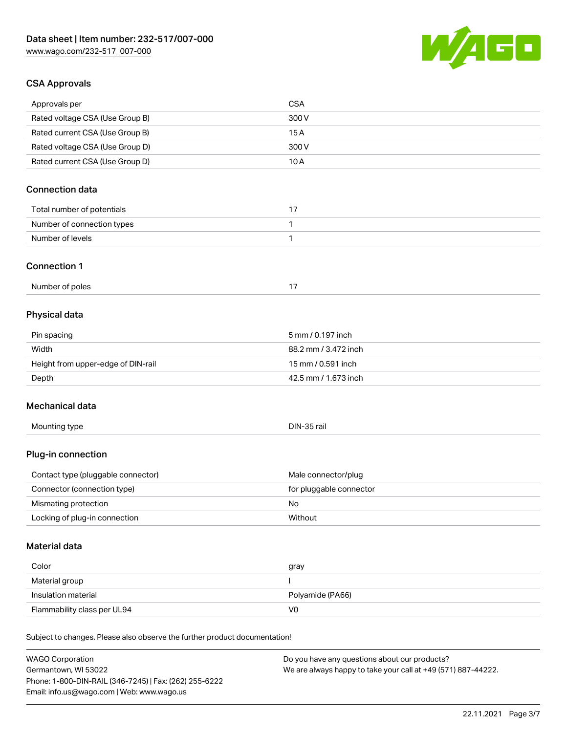Phone: 1-800-DIN-RAIL (346-7245) | Fax: (262) 255-6222

Email: info.us@wago.com | Web: www.wago.us



## CSA Approvals

| Approvals per                                                              | <b>CSA</b>                                                    |
|----------------------------------------------------------------------------|---------------------------------------------------------------|
| Rated voltage CSA (Use Group B)                                            | 300V                                                          |
| Rated current CSA (Use Group B)                                            | 15A                                                           |
| Rated voltage CSA (Use Group D)                                            | 300 V                                                         |
| Rated current CSA (Use Group D)                                            | 10A                                                           |
| <b>Connection data</b>                                                     |                                                               |
|                                                                            |                                                               |
| Total number of potentials                                                 | 17                                                            |
| Number of connection types<br>Number of levels                             | 1                                                             |
|                                                                            | 1                                                             |
| <b>Connection 1</b>                                                        |                                                               |
| Number of poles                                                            | 17                                                            |
| Physical data                                                              |                                                               |
| Pin spacing                                                                | 5 mm / 0.197 inch                                             |
| Width                                                                      | 88.2 mm / 3.472 inch                                          |
| Height from upper-edge of DIN-rail                                         | 15 mm / 0.591 inch                                            |
| Depth                                                                      | 42.5 mm / 1.673 inch                                          |
| Mechanical data                                                            |                                                               |
| Mounting type                                                              | DIN-35 rail                                                   |
| Plug-in connection                                                         |                                                               |
| Contact type (pluggable connector)                                         | Male connector/plug                                           |
| Connector (connection type)                                                | for pluggable connector                                       |
| Mismating protection                                                       | No                                                            |
| Locking of plug-in connection                                              | Without                                                       |
| <b>Material data</b>                                                       |                                                               |
| Color                                                                      | gray                                                          |
| Material group                                                             | <sup>1</sup>                                                  |
| Insulation material                                                        | Polyamide (PA66)                                              |
| Flammability class per UL94                                                | V <sub>0</sub>                                                |
| Subject to changes. Please also observe the further product documentation! |                                                               |
| <b>WAGO Corporation</b>                                                    | Do you have any questions about our products?                 |
| Germantown, WI 53022                                                       | We are always happy to take your call at +49 (571) 887-44222. |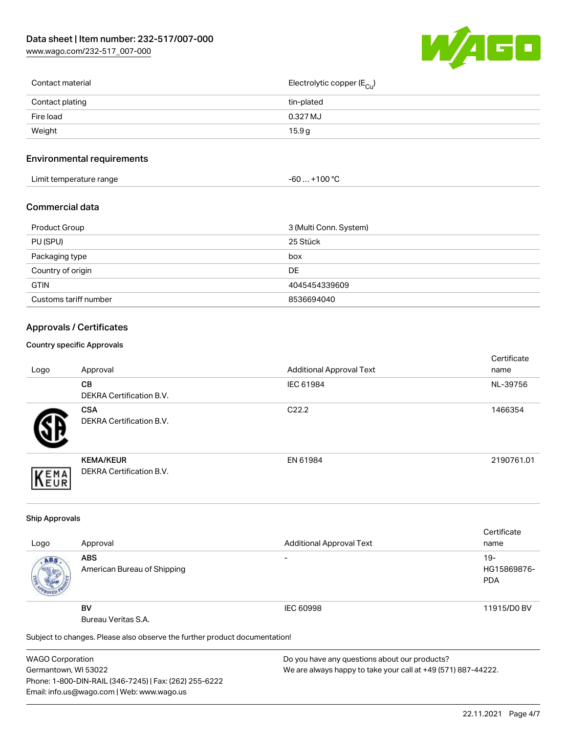[www.wago.com/232-517\\_007-000](http://www.wago.com/232-517_007-000)



| Contact material | Electrolytic copper ( $E_{\text{Cu}}$ ) |
|------------------|-----------------------------------------|
| Contact plating  | tin-plated                              |
| Fire load        | $0.327 \mathrm{MJ}$                     |
| Weight           | 15.9g                                   |
|                  |                                         |

## Environmental requirements

| Limit temperature range | ⊥+100 °ົ<br>-60 |
|-------------------------|-----------------|
|-------------------------|-----------------|

## Commercial data

| Product Group         | 3 (Multi Conn. System) |
|-----------------------|------------------------|
| PU (SPU)              | 25 Stück               |
| Packaging type        | box                    |
| Country of origin     | DE                     |
| <b>GTIN</b>           | 4045454339609          |
| Customs tariff number | 8536694040             |

## Approvals / Certificates

#### Country specific Approvals

| Logo | Approval                                            | <b>Additional Approval Text</b> | Certificate<br>name |
|------|-----------------------------------------------------|---------------------------------|---------------------|
|      | CВ<br><b>DEKRA Certification B.V.</b>               | IEC 61984                       | NL-39756            |
|      | <b>CSA</b><br>DEKRA Certification B.V.              | C <sub>22.2</sub>               | 1466354             |
| EMA  | <b>KEMA/KEUR</b><br><b>DEKRA Certification B.V.</b> | EN 61984                        | 2190761.01          |

#### Ship Approvals

|      |                                                                            |                                 | Certificate |
|------|----------------------------------------------------------------------------|---------------------------------|-------------|
| Logo | Approval                                                                   | <b>Additional Approval Text</b> | name        |
| ABS. | <b>ABS</b>                                                                 | -                               | $19-$       |
|      | American Bureau of Shipping                                                |                                 | HG15869876- |
|      |                                                                            |                                 | <b>PDA</b>  |
|      |                                                                            |                                 |             |
|      | <b>BV</b>                                                                  | IEC 60998                       | 11915/D0 BV |
|      | Bureau Veritas S.A.                                                        |                                 |             |
|      | Subject to changes. Please also observe the further product documentation! |                                 |             |

WAGO Corporation Germantown, WI 53022 Phone: 1-800-DIN-RAIL (346-7245) | Fax: (262) 255-6222 Email: info.us@wago.com | Web: www.wago.us

Do you have any questions about our products? We are always happy to take your call at +49 (571) 887-44222.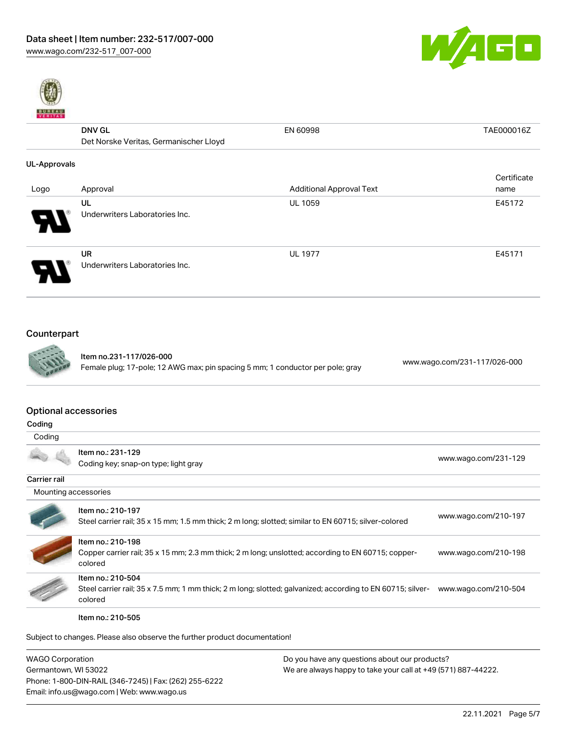



|              | <b>DNV GL</b>                          | EN 60998                        | TAE000016Z  |
|--------------|----------------------------------------|---------------------------------|-------------|
|              | Det Norske Veritas, Germanischer Lloyd |                                 |             |
| UL-Approvals |                                        |                                 |             |
|              |                                        |                                 | Certificate |
| Logo         | Approval                               | <b>Additional Approval Text</b> | name        |
|              | UL                                     | <b>UL 1059</b>                  | E45172      |
|              | Underwriters Laboratories Inc.         |                                 |             |
|              | <b>UR</b>                              | <b>UL 1977</b>                  | E45171      |
|              | Underwriters Laboratories Inc.         |                                 |             |

## Counterpart



Item no.231-117/026-000 Female plug; 17-pole; 12 AWG max; pin spacing 5 mm; 1 conductor per pole; gray [www.wago.com/231-117/026-000](https://www.wago.com/231-117/026-000)

#### Optional accessories

| Coding       |                                                           |                      |
|--------------|-----------------------------------------------------------|----------------------|
|              | Item no.: 231-129<br>Coding key; snap-on type; light gray | www.wago.com/231-129 |
| Carrier rail |                                                           |                      |
|              | Mounting accessories                                      |                      |
|              |                                                           |                      |

|                          | Item no.: 210-197<br>Steel carrier rail; 35 x 15 mm; 1.5 mm thick; 2 m long; slotted; similar to EN 60715; silver-colored                  | www.wago.com/210-197 |
|--------------------------|--------------------------------------------------------------------------------------------------------------------------------------------|----------------------|
| <b>Contract Contract</b> | Item no.: 210-198<br>Copper carrier rail; 35 x 15 mm; 2.3 mm thick; 2 m long; unslotted; according to EN 60715; copper-<br>colored         | www.wago.com/210-198 |
| <u>177</u>               | Item no.: 210-504<br>Steel carrier rail; 35 x 7.5 mm; 1 mm thick; 2 m long; slotted; galvanized; according to EN 60715; silver-<br>colored | www.wago.com/210-504 |
|                          |                                                                                                                                            |                      |

Item no.: 210-505

Subject to changes. Please also observe the further product documentation!

| <b>WAGO Corporation</b>                                | Do you have any questions about our products?                 |  |
|--------------------------------------------------------|---------------------------------------------------------------|--|
| Germantown, WI 53022                                   | We are always happy to take your call at +49 (571) 887-44222. |  |
| Phone: 1-800-DIN-RAIL (346-7245)   Fax: (262) 255-6222 |                                                               |  |
| Email: info.us@wago.com   Web: www.wago.us             |                                                               |  |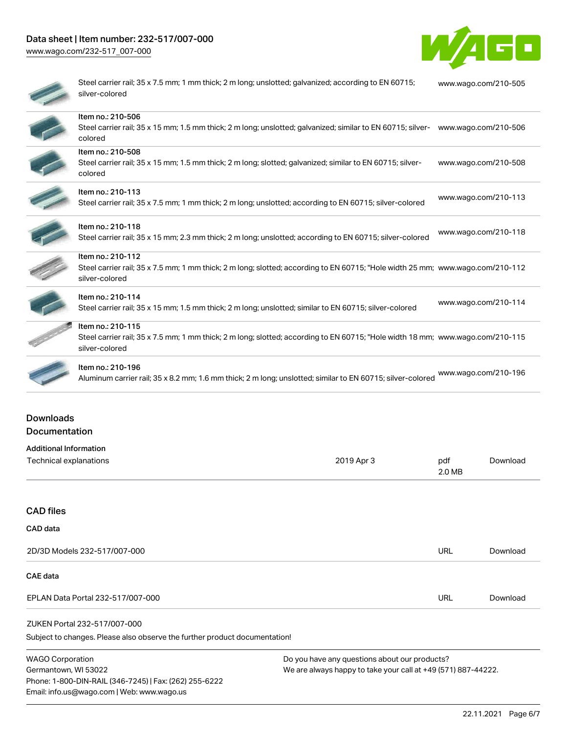## Data sheet | Item number: 232-517/007-000

[www.wago.com/232-517\\_007-000](http://www.wago.com/232-517_007-000)



| Steel carrier rail; 35 x 7.5 mm; 1 mm thick; 2 m long; unslotted; galvanized; according to EN 60715;<br>silver-colored                                                | www.wago.com/210-505 |
|-----------------------------------------------------------------------------------------------------------------------------------------------------------------------|----------------------|
| Item no.: 210-506<br>Steel carrier rail; 35 x 15 mm; 1.5 mm thick; 2 m long; unslotted; galvanized; similar to EN 60715; silver- www.wago.com/210-506<br>colored      |                      |
| Item no.: 210-508<br>Steel carrier rail; 35 x 15 mm; 1.5 mm thick; 2 m long; slotted; galvanized; similar to EN 60715; silver-<br>colored                             | www.wago.com/210-508 |
| Item no.: 210-113<br>Steel carrier rail; 35 x 7.5 mm; 1 mm thick; 2 m long; unslotted; according to EN 60715; silver-colored                                          | www.wago.com/210-113 |
| Item no.: 210-118<br>Steel carrier rail; 35 x 15 mm; 2.3 mm thick; 2 m long; unslotted; according to EN 60715; silver-colored                                         | www.wago.com/210-118 |
| Item no.: 210-112<br>Steel carrier rail; 35 x 7.5 mm; 1 mm thick; 2 m long; slotted; according to EN 60715; "Hole width 25 mm; www.wago.com/210-112<br>silver-colored |                      |
| Item no.: 210-114<br>Steel carrier rail; 35 x 15 mm; 1.5 mm thick; 2 m long; unslotted; similar to EN 60715; silver-colored                                           | www.wago.com/210-114 |
| Item no.: 210-115<br>Steel carrier rail; 35 x 7.5 mm; 1 mm thick; 2 m long; slotted; according to EN 60715; "Hole width 18 mm; www.wago.com/210-115<br>silver-colored |                      |
| Item no.: 210-196<br>Aluminum carrier rail; 35 x 8.2 mm; 1.6 mm thick; 2 m long; unslotted; similar to EN 60715; silver-colored                                       | www.wago.com/210-196 |

## Downloads Documentation

Email: info.us@wago.com | Web: www.wago.us

| <b>Additional Information</b>                                                  |                                                               |               |          |
|--------------------------------------------------------------------------------|---------------------------------------------------------------|---------------|----------|
| Technical explanations                                                         | 2019 Apr 3                                                    | pdf<br>2.0 MB | Download |
|                                                                                |                                                               |               |          |
| <b>CAD files</b>                                                               |                                                               |               |          |
| CAD data                                                                       |                                                               |               |          |
| 2D/3D Models 232-517/007-000                                                   |                                                               | <b>URL</b>    | Download |
| <b>CAE</b> data                                                                |                                                               |               |          |
| EPLAN Data Portal 232-517/007-000                                              |                                                               | <b>URL</b>    | Download |
| ZUKEN Portal 232-517/007-000                                                   |                                                               |               |          |
| Subject to changes. Please also observe the further product documentation!     |                                                               |               |          |
| <b>WAGO Corporation</b>                                                        | Do you have any questions about our products?                 |               |          |
| Germantown, WI 53022<br>Phone: 1-800-DIN-RAIL (346-7245)   Fax: (262) 255-6222 | We are always happy to take your call at +49 (571) 887-44222. |               |          |

22.11.2021 Page 6/7